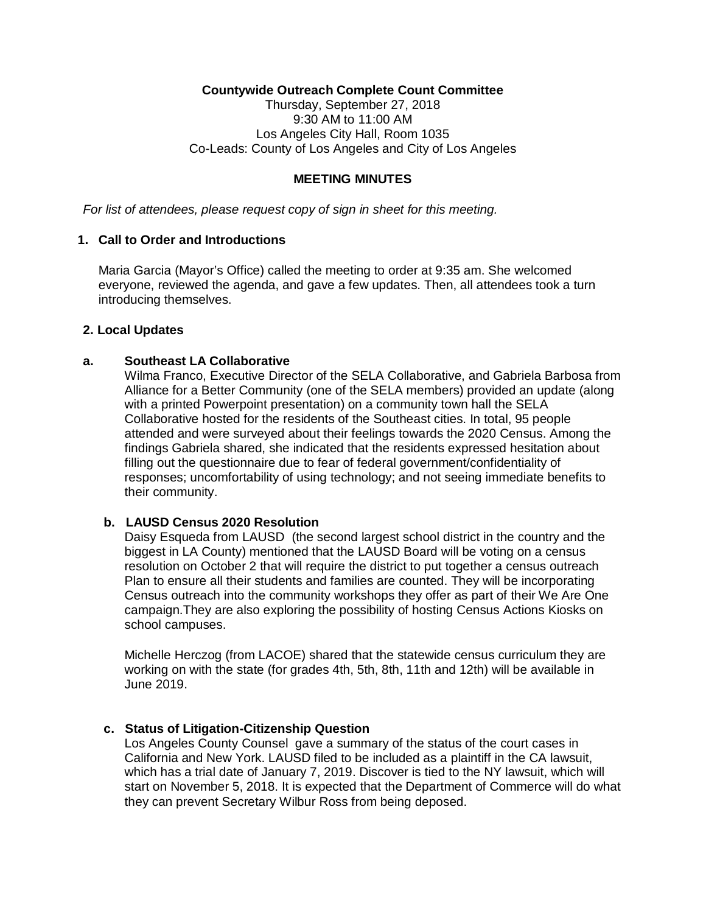# **Countywide Outreach Complete Count Committee**

Thursday, September 27, 2018 9:30 AM to 11:00 AM Los Angeles City Hall, Room 1035 Co-Leads: County of Los Angeles and City of Los Angeles

### **MEETING MINUTES**

*For list of attendees, please request copy of sign in sheet for this meeting.* 

### **1. Call to Order and Introductions**

Maria Garcia (Mayor's Office) called the meeting to order at 9:35 am. She welcomed everyone, reviewed the agenda, and gave a few updates. Then, all attendees took a turn introducing themselves.

### **2. Local Updates**

# **a. Southeast LA Collaborative**

Wilma Franco, Executive Director of the SELA Collaborative, and Gabriela Barbosa from Alliance for a Better Community (one of the SELA members) provided an update (along with a printed Powerpoint presentation) on a community town hall the SELA Collaborative hosted for the residents of the Southeast cities. In total, 95 people attended and were surveyed about their feelings towards the 2020 Census. Among the findings Gabriela shared, she indicated that the residents expressed hesitation about filling out the questionnaire due to fear of federal government/confidentiality of responses; uncomfortability of using technology; and not seeing immediate benefits to their community.

# **b. LAUSD Census 2020 Resolution**

Daisy Esqueda from LAUSD (the second largest school district in the country and the biggest in LA County) mentioned that the LAUSD Board will be voting on a census resolution on October 2 that will require the district to put together a census outreach Plan to ensure all their students and families are counted. They will be incorporating Census outreach into the community workshops they offer as part of their We Are One campaign.They are also exploring the possibility of hosting Census Actions Kiosks on school campuses.

Michelle Herczog (from LACOE) shared that the statewide census curriculum they are working on with the state (for grades 4th, 5th, 8th, 11th and 12th) will be available in June 2019.

### **c. Status of Litigation-Citizenship Question**

Los Angeles County Counsel gave a summary of the status of the court cases in California and New York. LAUSD filed to be included as a plaintiff in the CA lawsuit, which has a trial date of January 7, 2019. Discover is tied to the NY lawsuit, which will start on November 5, 2018. It is expected that the Department of Commerce will do what they can prevent Secretary Wilbur Ross from being deposed.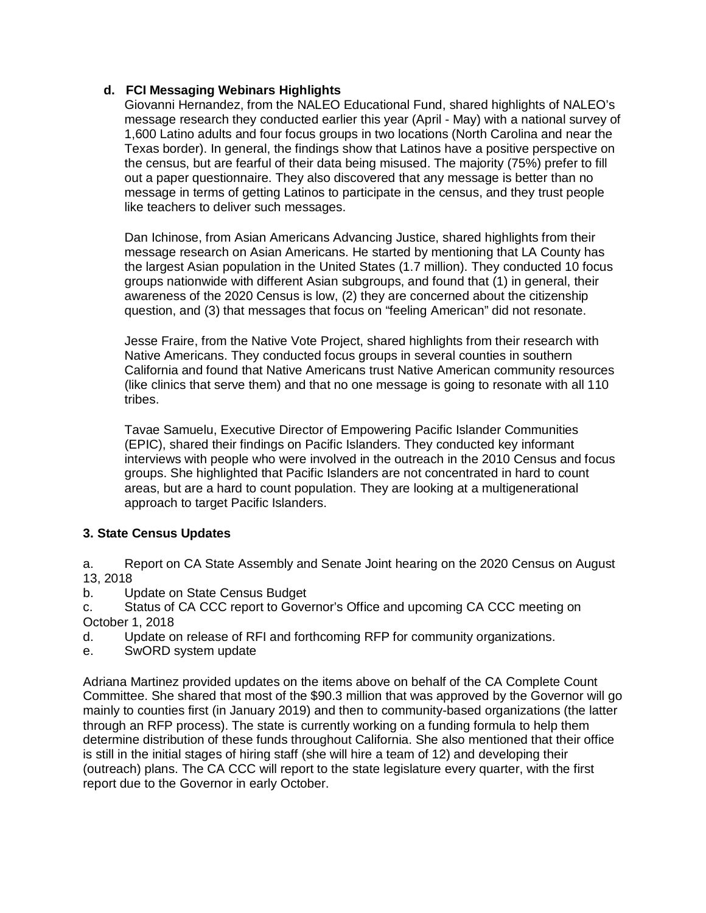# **d. FCI Messaging Webinars Highlights**

Giovanni Hernandez, from the NALEO Educational Fund, shared highlights of NALEO's message research they conducted earlier this year (April - May) with a national survey of 1,600 Latino adults and four focus groups in two locations (North Carolina and near the Texas border). In general, the findings show that Latinos have a positive perspective on the census, but are fearful of their data being misused. The majority (75%) prefer to fill out a paper questionnaire. They also discovered that any message is better than no message in terms of getting Latinos to participate in the census, and they trust people like teachers to deliver such messages.

Dan Ichinose, from Asian Americans Advancing Justice, shared highlights from their message research on Asian Americans. He started by mentioning that LA County has the largest Asian population in the United States (1.7 million). They conducted 10 focus groups nationwide with different Asian subgroups, and found that (1) in general, their awareness of the 2020 Census is low, (2) they are concerned about the citizenship question, and (3) that messages that focus on "feeling American" did not resonate.

Jesse Fraire, from the Native Vote Project, shared highlights from their research with Native Americans. They conducted focus groups in several counties in southern California and found that Native Americans trust Native American community resources (like clinics that serve them) and that no one message is going to resonate with all 110 tribes.

Tavae Samuelu, Executive Director of Empowering Pacific Islander Communities (EPIC), shared their findings on Pacific Islanders. They conducted key informant interviews with people who were involved in the outreach in the 2010 Census and focus groups. She highlighted that Pacific Islanders are not concentrated in hard to count areas, but are a hard to count population. They are looking at a multigenerational approach to target Pacific Islanders.

# **3. State Census Updates**

a. Report on CA State Assembly and Senate Joint hearing on the 2020 Census on August 13, 2018

b. Update on State Census Budget

c. Status of CA CCC report to Governor's Office and upcoming CA CCC meeting on October 1, 2018

- d. Update on release of RFI and forthcoming RFP for community organizations.
- e. SwORD system update

Adriana Martinez provided updates on the items above on behalf of the CA Complete Count Committee. She shared that most of the \$90.3 million that was approved by the Governor will go mainly to counties first (in January 2019) and then to community-based organizations (the latter through an RFP process). The state is currently working on a funding formula to help them determine distribution of these funds throughout California. She also mentioned that their office is still in the initial stages of hiring staff (she will hire a team of 12) and developing their (outreach) plans. The CA CCC will report to the state legislature every quarter, with the first report due to the Governor in early October.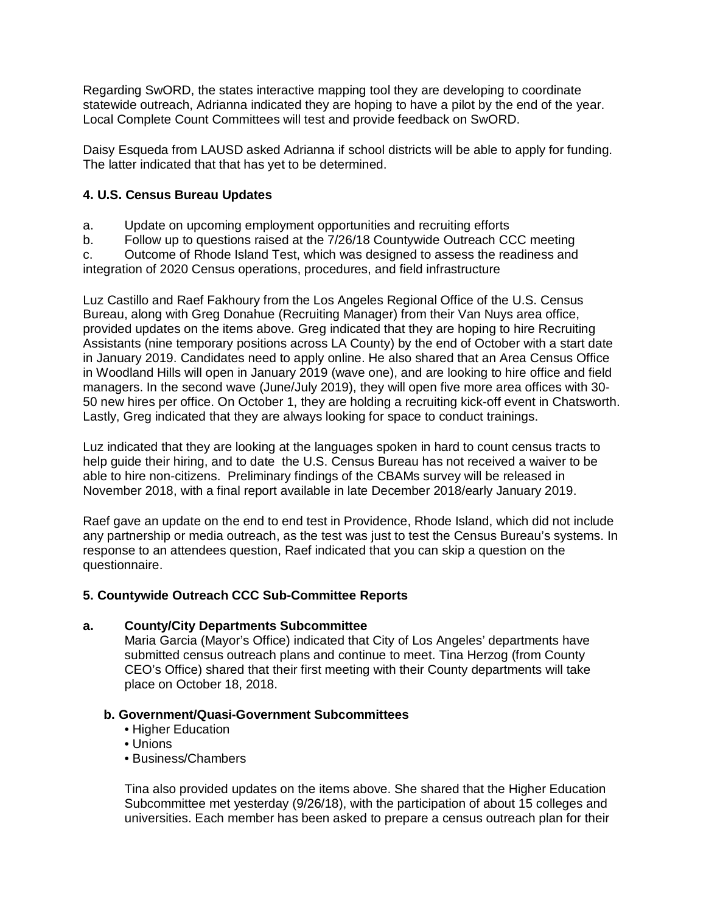Regarding SwORD, the states interactive mapping tool they are developing to coordinate statewide outreach, Adrianna indicated they are hoping to have a pilot by the end of the year. Local Complete Count Committees will test and provide feedback on SwORD.

Daisy Esqueda from LAUSD asked Adrianna if school districts will be able to apply for funding. The latter indicated that that has yet to be determined.

# **4. U.S. Census Bureau Updates**

- a. Update on upcoming employment opportunities and recruiting efforts
- b. Follow up to questions raised at the 7/26/18 Countywide Outreach CCC meeting

c. Outcome of Rhode Island Test, which was designed to assess the readiness and integration of 2020 Census operations, procedures, and field infrastructure

Luz Castillo and Raef Fakhoury from the Los Angeles Regional Office of the U.S. Census Bureau, along with Greg Donahue (Recruiting Manager) from their Van Nuys area office, provided updates on the items above. Greg indicated that they are hoping to hire Recruiting Assistants (nine temporary positions across LA County) by the end of October with a start date in January 2019. Candidates need to apply online. He also shared that an Area Census Office in Woodland Hills will open in January 2019 (wave one), and are looking to hire office and field managers. In the second wave (June/July 2019), they will open five more area offices with 30- 50 new hires per office. On October 1, they are holding a recruiting kick-off event in Chatsworth. Lastly, Greg indicated that they are always looking for space to conduct trainings.

Luz indicated that they are looking at the languages spoken in hard to count census tracts to help guide their hiring, and to date the U.S. Census Bureau has not received a waiver to be able to hire non-citizens. Preliminary findings of the CBAMs survey will be released in November 2018, with a final report available in late December 2018/early January 2019.

Raef gave an update on the end to end test in Providence, Rhode Island, which did not include any partnership or media outreach, as the test was just to test the Census Bureau's systems. In response to an attendees question, Raef indicated that you can skip a question on the questionnaire.

# **5. Countywide Outreach CCC Sub-Committee Reports**

# **a. County/City Departments Subcommittee**

Maria Garcia (Mayor's Office) indicated that City of Los Angeles' departments have submitted census outreach plans and continue to meet. Tina Herzog (from County CEO's Office) shared that their first meeting with their County departments will take place on October 18, 2018.

# **b. Government/Quasi-Government Subcommittees**

- Higher Education
- Unions
- Business/Chambers

Tina also provided updates on the items above. She shared that the Higher Education Subcommittee met yesterday (9/26/18), with the participation of about 15 colleges and universities. Each member has been asked to prepare a census outreach plan for their